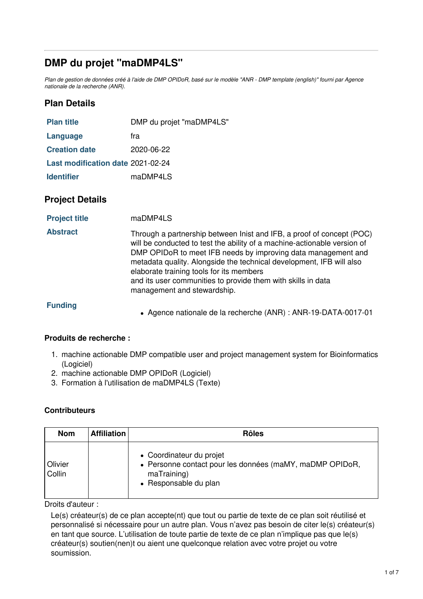# **DMP du projet "maDMP4LS"**

Plan de gestion de données créé à l'aide de DMP OPIDoR, basé sur le modèle "ANR - DMP template (english)" fourni par Agence *nationale de la recherche (ANR).*

# **Plan Details**

| <b>Plan title</b>                 | DMP du projet "maDMP4LS" |
|-----------------------------------|--------------------------|
| Language                          | fra                      |
| <b>Creation date</b>              | $2020 - 06 - 22$         |
| Last modification date 2021-02-24 |                          |
| <b>Identifier</b>                 | maDMP4LS                 |

## **Project Details**

| <b>Project title</b> | maDMP4LS |
|----------------------|----------|
|----------------------|----------|

**Abstract** Through a partnership between Inist and IFB, a proof of concept (POC) will be conducted to test the ability of a machine-actionable version of DMP OPIDoR to meet IFB needs by improving data management and metadata quality. Alongside the technical development, IFB will also elaborate training tools for its members and its user communities to provide them with skills in data management and stewardship.

**Funding**

Agence nationale de la recherche (ANR) : ANR-19-DATA-0017-01

## **Produits de recherche :**

- 1. machine actionable DMP compatible user and project management system for Bioinformatics (Logiciel)
- 2. machine actionable DMP OPIDoR (Logiciel)
- 3. Formation à l'utilisation de maDMP4LS (Texte)

## **Contributeurs**

| <b>Nom</b>        | Affiliation | <b>Rôles</b>                                                                                                                 |
|-------------------|-------------|------------------------------------------------------------------------------------------------------------------------------|
| Olivier<br>Collin |             | • Coordinateur du projet<br>• Personne contact pour les données (maMY, maDMP OPIDoR,<br>maTraining)<br>• Responsable du plan |

### Droits d'auteur :

Le(s) créateur(s) de ce plan accepte(nt) que tout ou partie de texte de ce plan soit réutilisé et personnalisé si nécessaire pour un autre plan. Vous n'avez pas besoin de citer le(s) créateur(s) en tant que source. L'utilisation de toute partie de texte de ce plan n'implique pas que le(s) créateur(s) soutien(nen)t ou aient une quelconque relation avec votre projet ou votre soumission.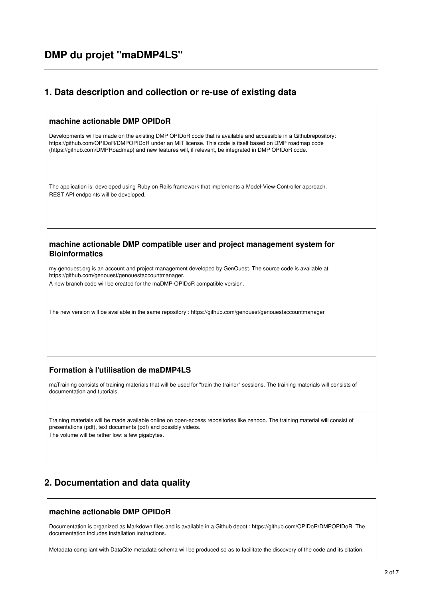## **1. Data description and collection or re-use of existing data**

#### **machine actionable DMP OPIDoR**

Developments will be made on the existing DMP OPIDoR code that is available and accessible in a Githubrepository: https://github.com/OPIDoR/DMPOPIDoR under an MIT license. This code is itself based on DMP roadmap code (https://github.com/DMPRoadmap) and new features will, if relevant, be integrated in DMP OPIDoR code.

The application is developed using Ruby on Rails framework that implements a Model-View-Controller approach. REST API endpoints will be developed.

#### **machine actionable DMP compatible user and project management system for Bioinformatics**

my.genouest.org is an account and project management developed by GenOuest. The source code is available at https://github.com/genouest/genouestaccountmanager.

A new branch code will be created for the maDMP-OPIDoR compatible version.

The new version will be available in the same repository : https://github.com/genouest/genouestaccountmanager

### **Formation à l'utilisation de maDMP4LS**

maTraining consists of training materials that will be used for "train the trainer" sessions. The training materials will consists of documentation and tutorials.

Training materials will be made available online on open-access repositories like zenodo. The training material will consist of presentations (pdf), text documents (pdf) and possibly videos.

The volume will be rather low: a few gigabytes.

# **2. Documentation and data quality**

#### **machine actionable DMP OPIDoR**

Documentation is organized as Markdown files and is available in a Github depot : https://github.com/OPIDoR/DMPOPIDoR. The documentation includes installation instructions.

Metadata compliant with DataCite metadata schema will be produced so as to facilitate the discovery of the code and its citation.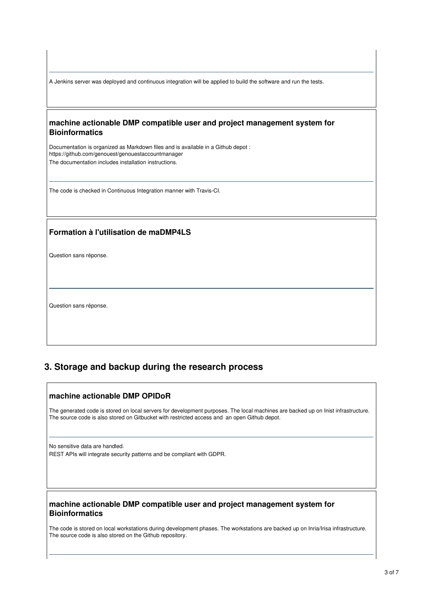A Jenkins server was deployed and continuous integration will be applied to build the software and run the tests.

#### **machine actionable DMP compatible user and project management system for Bioinformatics**

Documentation is organized as Markdown files and is available in a Github depot : https://github.com/genouest/genouestaccountmanager The documentation includes installation instructions.

The code is checked in Continuous Integration manner with Travis-CI.

### **Formation à l'utilisation de maDMP4LS**

Question sans réponse.

Question sans réponse.

# **3. Storage and backup during the research process**

### **machine actionable DMP OPIDoR**

The generated code is stored on local servers for development purposes. The local machines are backed up on Inist infrastructure. The source code is also stored on Gitbucket with restricted access and an open Github depot.

No sensitive data are handled.

REST APIs will integrate security patterns and be compliant with GDPR.

### **machine actionable DMP compatible user and project management system for Bioinformatics**

The code is stored on local workstations during development phases. The workstations are backed up on Inria/Irisa infrastructure. The source code is also stored on the Github repository.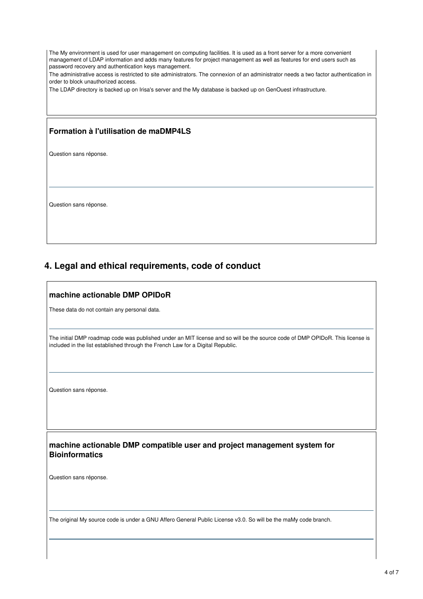The My environment is used for user management on computing facilities. It is used as a front server for a more convenient management of LDAP information and adds many features for project management as well as features for end users such as password recovery and authentication keys management.

The administrative access is restricted to site administrators. The connexion of an administrator needs a two factor authentication in order to block unauthorized access.

The LDAP directory is backed up on Irisa's server and the My database is backed up on GenOuest infrastructure.

### **Formation à l'utilisation de maDMP4LS**

Question sans réponse.

Question sans réponse.

# **4. Legal and ethical requirements, code of conduct**

### **machine actionable DMP OPIDoR**

These data do not contain any personal data.

The initial DMP roadmap code was published under an MIT license and so will be the source code of DMP OPIDoR. This license is included in the list established through the French Law for a Digital Republic.

Question sans réponse.

**machine actionable DMP compatible user and project management system for Bioinformatics**

Question sans réponse.

The original My source code is under a GNU Affero General Public License v3.0. So will be the maMy code branch.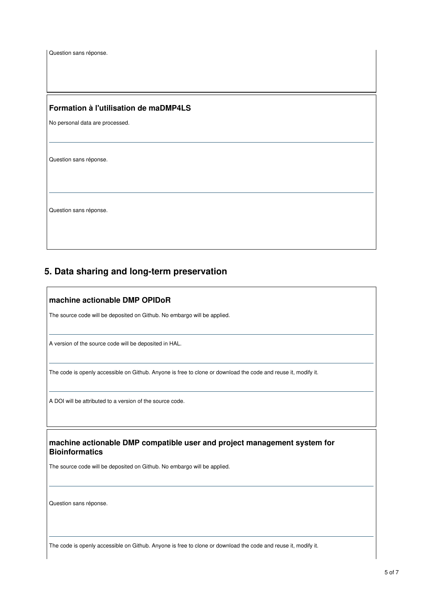Question sans réponse.

#### **Formation à l'utilisation de maDMP4LS**

No personal data are processed.

Question sans réponse.

Question sans réponse.

## **5. Data sharing and long-term preservation**

#### **machine actionable DMP OPIDoR**

The source code will be deposited on Github. No embargo will be applied.

A version of the source code will be deposited in HAL.

The code is openly accessible on Github. Anyone is free to clone or download the code and reuse it, modify it.

A DOI will be attributed to a version of the source code.

**machine actionable DMP compatible user and project management system for Bioinformatics**

The source code will be deposited on Github. No embargo will be applied.

Question sans réponse.

The code is openly accessible on Github. Anyone is free to clone or download the code and reuse it, modify it.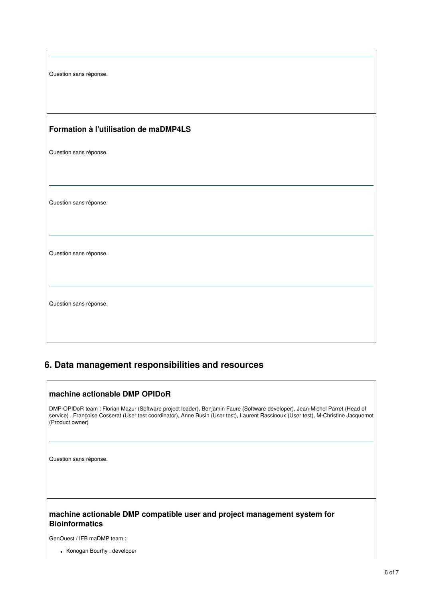| Question sans réponse.                |
|---------------------------------------|
|                                       |
| Formation à l'utilisation de maDMP4LS |
| Question sans réponse.                |
|                                       |
|                                       |
| Question sans réponse.                |
|                                       |
| Question sans réponse.                |
|                                       |
|                                       |
| Question sans réponse.                |
|                                       |
|                                       |

# **6. Data management responsibilities and resources**

## **machine actionable DMP OPIDoR**

DMP-OPIDoR team : Florian Mazur (Software project leader), Benjamin Faure (Software developer), Jean-Michel Parret (Head of service), Françoise Cosserat (User test coordinator), Anne Busin (User test), Laurent Rassinoux (User test), M-Christine Jacquemot (Product owner)

Question sans réponse.

### **machine actionable DMP compatible user and project management system for Bioinformatics**

GenOuest / IFB maDMP team :

Konogan Bourhy : developer